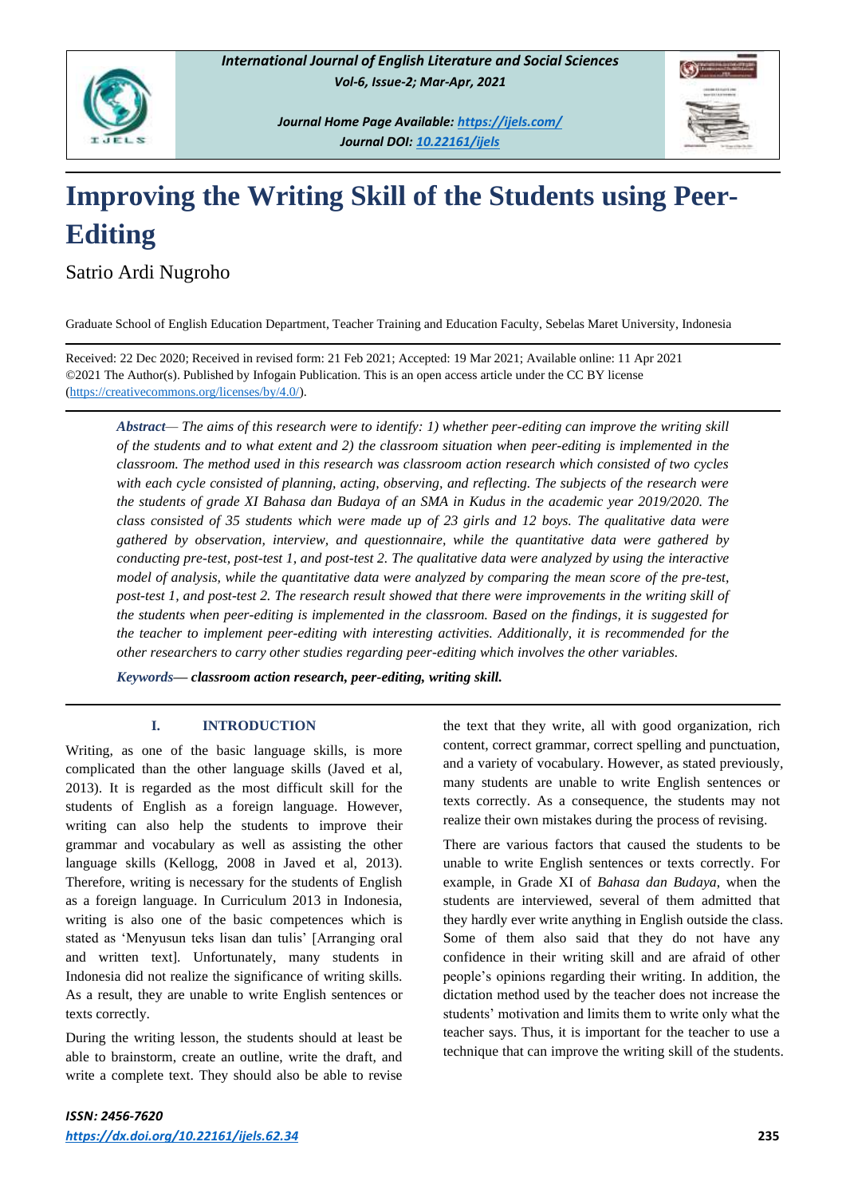

*Journal Home Page Available:<https://ijels.com/> Journal DOI: 10.22161/ijels*

# **Improving the Writing Skill of the Students using Peer-Editing**

Satrio Ardi Nugroho

Graduate School of English Education Department, Teacher Training and Education Faculty, Sebelas Maret University, Indonesia

Received: 22 Dec 2020; Received in revised form: 21 Feb 2021; Accepted: 19 Mar 2021; Available online: 11 Apr 2021 ©2021 The Author(s). Published by Infogain Publication. This is an open access article under the CC BY license [\(https://creativecommons.org/licenses/by/4.0/\)](https://creativecommons.org/licenses/by/4.0/).

*Abstract— The aims of this research were to identify: 1) whether peer-editing can improve the writing skill of the students and to what extent and 2) the classroom situation when peer-editing is implemented in the classroom. The method used in this research was classroom action research which consisted of two cycles with each cycle consisted of planning, acting, observing, and reflecting. The subjects of the research were the students of grade XI Bahasa dan Budaya of an SMA in Kudus in the academic year 2019/2020. The class consisted of 35 students which were made up of 23 girls and 12 boys. The qualitative data were gathered by observation, interview, and questionnaire, while the quantitative data were gathered by conducting pre-test, post-test 1, and post-test 2. The qualitative data were analyzed by using the interactive model of analysis, while the quantitative data were analyzed by comparing the mean score of the pre-test, post-test 1, and post-test 2. The research result showed that there were improvements in the writing skill of the students when peer-editing is implemented in the classroom. Based on the findings, it is suggested for the teacher to implement peer-editing with interesting activities. Additionally, it is recommended for the other researchers to carry other studies regarding peer-editing which involves the other variables.*

*Keywords— classroom action research, peer-editing, writing skill.*

## **I. INTRODUCTION**

Writing, as one of the basic language skills, is more complicated than the other language skills (Javed et al, 2013). It is regarded as the most difficult skill for the students of English as a foreign language. However, writing can also help the students to improve their grammar and vocabulary as well as assisting the other language skills (Kellogg, 2008 in Javed et al, 2013). Therefore, writing is necessary for the students of English as a foreign language. In Curriculum 2013 in Indonesia, writing is also one of the basic competences which is stated as 'Menyusun teks lisan dan tulis' [Arranging oral and written text]. Unfortunately, many students in Indonesia did not realize the significance of writing skills. As a result, they are unable to write English sentences or texts correctly.

During the writing lesson, the students should at least be able to brainstorm, create an outline, write the draft, and write a complete text. They should also be able to revise

the text that they write, all with good organization, rich content, correct grammar, correct spelling and punctuation, and a variety of vocabulary. However, as stated previously, many students are unable to write English sentences or texts correctly. As a consequence, the students may not realize their own mistakes during the process of revising.

There are various factors that caused the students to be unable to write English sentences or texts correctly. For example, in Grade XI of *Bahasa dan Budaya*, when the students are interviewed, several of them admitted that they hardly ever write anything in English outside the class. Some of them also said that they do not have any confidence in their writing skill and are afraid of other people's opinions regarding their writing. In addition, the dictation method used by the teacher does not increase the students' motivation and limits them to write only what the teacher says. Thus, it is important for the teacher to use a technique that can improve the writing skill of the students.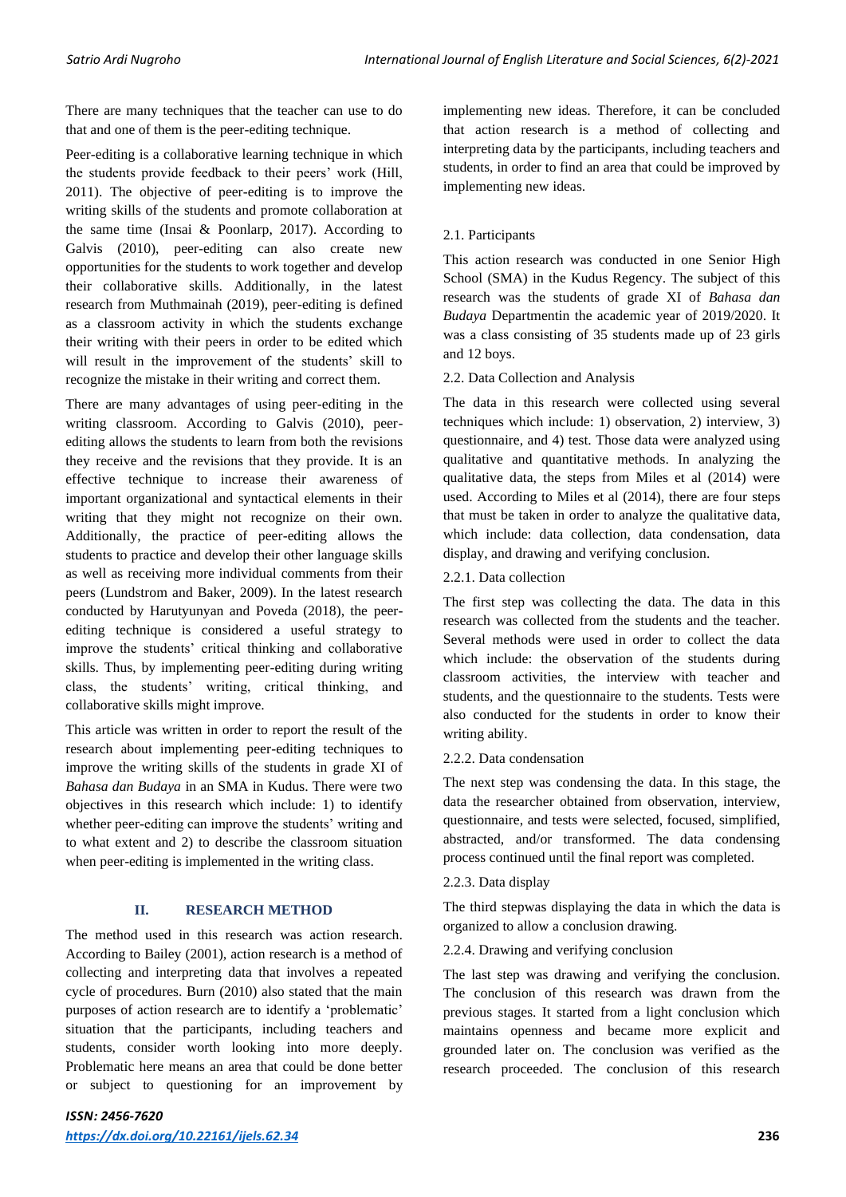There are many techniques that the teacher can use to do that and one of them is the peer-editing technique.

Peer-editing is a collaborative learning technique in which the students provide feedback to their peers' work (Hill, 2011). The objective of peer-editing is to improve the writing skills of the students and promote collaboration at the same time (Insai & Poonlarp, 2017). According to Galvis (2010), peer-editing can also create new opportunities for the students to work together and develop their collaborative skills. Additionally, in the latest research from Muthmainah (2019), peer-editing is defined as a classroom activity in which the students exchange their writing with their peers in order to be edited which will result in the improvement of the students' skill to recognize the mistake in their writing and correct them.

There are many advantages of using peer-editing in the writing classroom. According to Galvis (2010), peerediting allows the students to learn from both the revisions they receive and the revisions that they provide. It is an effective technique to increase their awareness of important organizational and syntactical elements in their writing that they might not recognize on their own. Additionally, the practice of peer-editing allows the students to practice and develop their other language skills as well as receiving more individual comments from their peers (Lundstrom and Baker, 2009). In the latest research conducted by Harutyunyan and Poveda (2018), the peerediting technique is considered a useful strategy to improve the students' critical thinking and collaborative skills. Thus, by implementing peer-editing during writing class, the students' writing, critical thinking, and collaborative skills might improve.

This article was written in order to report the result of the research about implementing peer-editing techniques to improve the writing skills of the students in grade XI of *Bahasa dan Budaya* in an SMA in Kudus. There were two objectives in this research which include: 1) to identify whether peer-editing can improve the students' writing and to what extent and 2) to describe the classroom situation when peer-editing is implemented in the writing class.

# **II. RESEARCH METHOD**

The method used in this research was action research. According to Bailey (2001), action research is a method of collecting and interpreting data that involves a repeated cycle of procedures. Burn (2010) also stated that the main purposes of action research are to identify a 'problematic' situation that the participants, including teachers and students, consider worth looking into more deeply. Problematic here means an area that could be done better or subject to questioning for an improvement by implementing new ideas. Therefore, it can be concluded that action research is a method of collecting and interpreting data by the participants, including teachers and students, in order to find an area that could be improved by implementing new ideas.

## 2.1. Participants

This action research was conducted in one Senior High School (SMA) in the Kudus Regency. The subject of this research was the students of grade XI of *Bahasa dan Budaya* Departmentin the academic year of 2019/2020. It was a class consisting of 35 students made up of 23 girls and 12 boys.

## 2.2. Data Collection and Analysis

The data in this research were collected using several techniques which include: 1) observation, 2) interview, 3) questionnaire, and 4) test. Those data were analyzed using qualitative and quantitative methods. In analyzing the qualitative data, the steps from Miles et al (2014) were used. According to Miles et al (2014), there are four steps that must be taken in order to analyze the qualitative data, which include: data collection, data condensation, data display, and drawing and verifying conclusion.

## 2.2.1. Data collection

The first step was collecting the data. The data in this research was collected from the students and the teacher. Several methods were used in order to collect the data which include: the observation of the students during classroom activities, the interview with teacher and students, and the questionnaire to the students. Tests were also conducted for the students in order to know their writing ability.

#### 2.2.2. Data condensation

The next step was condensing the data. In this stage, the data the researcher obtained from observation, interview, questionnaire, and tests were selected, focused, simplified, abstracted, and/or transformed. The data condensing process continued until the final report was completed.

#### 2.2.3. Data display

The third stepwas displaying the data in which the data is organized to allow a conclusion drawing.

#### 2.2.4. Drawing and verifying conclusion

The last step was drawing and verifying the conclusion. The conclusion of this research was drawn from the previous stages. It started from a light conclusion which maintains openness and became more explicit and grounded later on. The conclusion was verified as the research proceeded. The conclusion of this research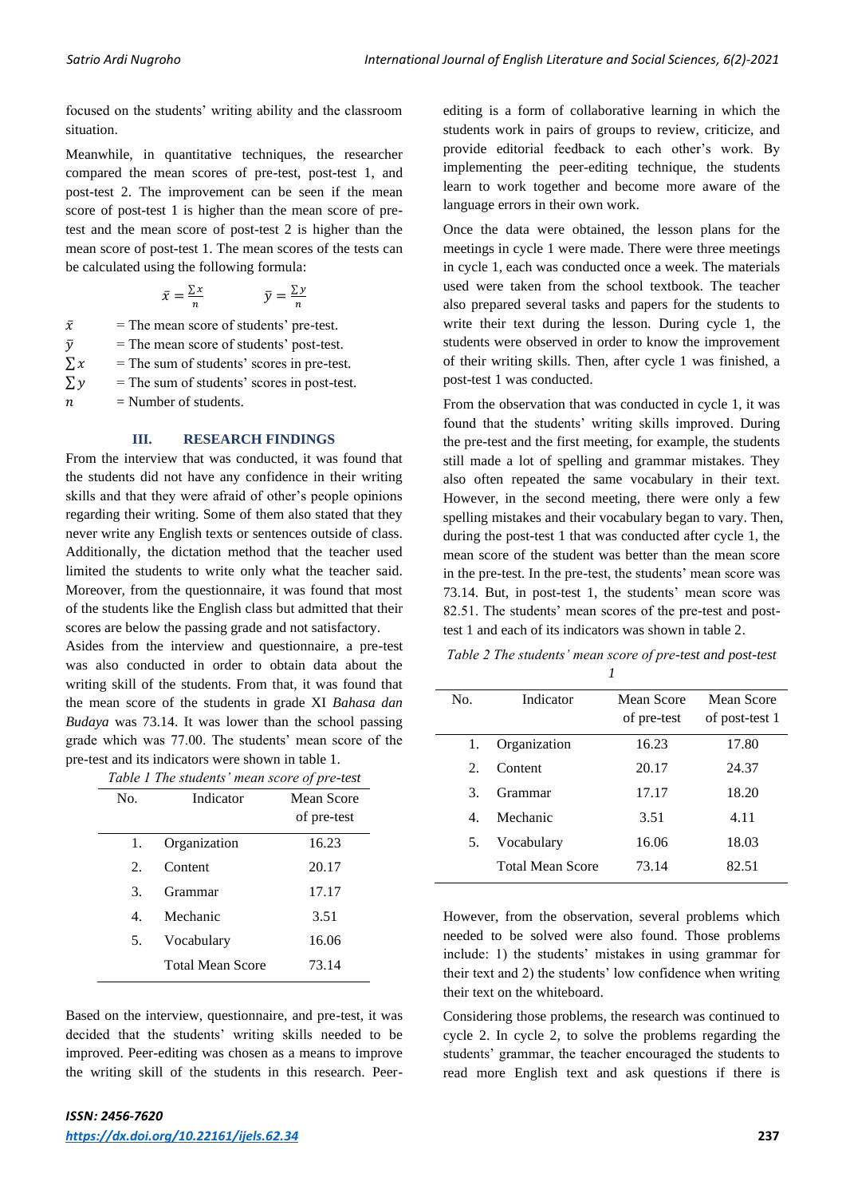focused on the students' writing ability and the classroom situation.

Meanwhile, in quantitative techniques, the researcher compared the mean scores of pre-test, post-test 1, and post-test 2. The improvement can be seen if the mean score of post-test 1 is higher than the mean score of pretest and the mean score of post-test 2 is higher than the mean score of post-test 1. The mean scores of the tests can be calculated using the following formula:

$$
\bar{x} = \frac{\sum x}{n} \qquad \qquad \bar{y} = \frac{\sum y}{n}
$$

 $\bar{x}$  = The mean score of students' pre-test.  $\bar{v}$  = The mean score of students' post-test.  $\sum x$  = The sum of students' scores in pre-test.

 $\sum y$  = The sum of students' scores in post-test.

 $n =$  Number of students.

#### **III. RESEARCH FINDINGS**

From the interview that was conducted, it was found that the students did not have any confidence in their writing skills and that they were afraid of other's people opinions regarding their writing. Some of them also stated that they never write any English texts or sentences outside of class. Additionally, the dictation method that the teacher used limited the students to write only what the teacher said. Moreover, from the questionnaire, it was found that most of the students like the English class but admitted that their scores are below the passing grade and not satisfactory.

Asides from the interview and questionnaire, a pre-test was also conducted in order to obtain data about the writing skill of the students. From that, it was found that the mean score of the students in grade XI *Bahasa dan Budaya* was 73.14. It was lower than the school passing grade which was 77.00. The students' mean score of the pre-test and its indicators were shown in table 1.

|  | Table 1 The students' mean score of pre-test |  |  |
|--|----------------------------------------------|--|--|
|  |                                              |  |  |

| No.                         | Indicator               | Mean Score<br>of pre-test |
|-----------------------------|-------------------------|---------------------------|
| 1.                          | Organization            | 16.23                     |
| $\mathcal{D}_{\mathcal{L}}$ | Content                 | 20.17                     |
| 3.                          | Grammar                 | 17.17                     |
| $\overline{4}$              | Mechanic                | 3.51                      |
| 5.                          | Vocabulary              | 16.06                     |
|                             | <b>Total Mean Score</b> | 73.14                     |

Based on the interview, questionnaire, and pre-test, it was decided that the students' writing skills needed to be improved. Peer-editing was chosen as a means to improve the writing skill of the students in this research. Peer-

L,

editing is a form of collaborative learning in which the students work in pairs of groups to review, criticize, and provide editorial feedback to each other's work. By implementing the peer-editing technique, the students learn to work together and become more aware of the language errors in their own work.

Once the data were obtained, the lesson plans for the meetings in cycle 1 were made. There were three meetings in cycle 1, each was conducted once a week. The materials used were taken from the school textbook. The teacher also prepared several tasks and papers for the students to write their text during the lesson. During cycle 1, the students were observed in order to know the improvement of their writing skills. Then, after cycle 1 was finished, a post-test 1 was conducted.

From the observation that was conducted in cycle 1, it was found that the students' writing skills improved. During the pre-test and the first meeting, for example, the students still made a lot of spelling and grammar mistakes. They also often repeated the same vocabulary in their text. However, in the second meeting, there were only a few spelling mistakes and their vocabulary began to vary. Then, during the post-test 1 that was conducted after cycle 1, the mean score of the student was better than the mean score in the pre-test. In the pre-test, the students' mean score was 73.14. But, in post-test 1, the students' mean score was 82.51. The students' mean scores of the pre-test and posttest 1 and each of its indicators was shown in table 2.

*Table 2 The students' mean score of pre-test and post-test 1*

| No.         | Indicator               | Mean Score<br>of pre-test | Mean Score<br>of post-test 1 |
|-------------|-------------------------|---------------------------|------------------------------|
| 1.          | Organization            | 16.23                     | 17.80                        |
| $2^{\circ}$ | Content                 | 20.17                     | 24.37                        |
| 3.          | Grammar                 | 17.17                     | 18.20                        |
| 4           | Mechanic                | 3.51                      | 4.11                         |
| 5.          | Vocabulary              | 16.06                     | 18.03                        |
|             | <b>Total Mean Score</b> | 73.14                     | 82.51                        |

However, from the observation, several problems which needed to be solved were also found. Those problems include: 1) the students' mistakes in using grammar for their text and 2) the students' low confidence when writing their text on the whiteboard.

Considering those problems, the research was continued to cycle 2. In cycle 2, to solve the problems regarding the students' grammar, the teacher encouraged the students to read more English text and ask questions if there is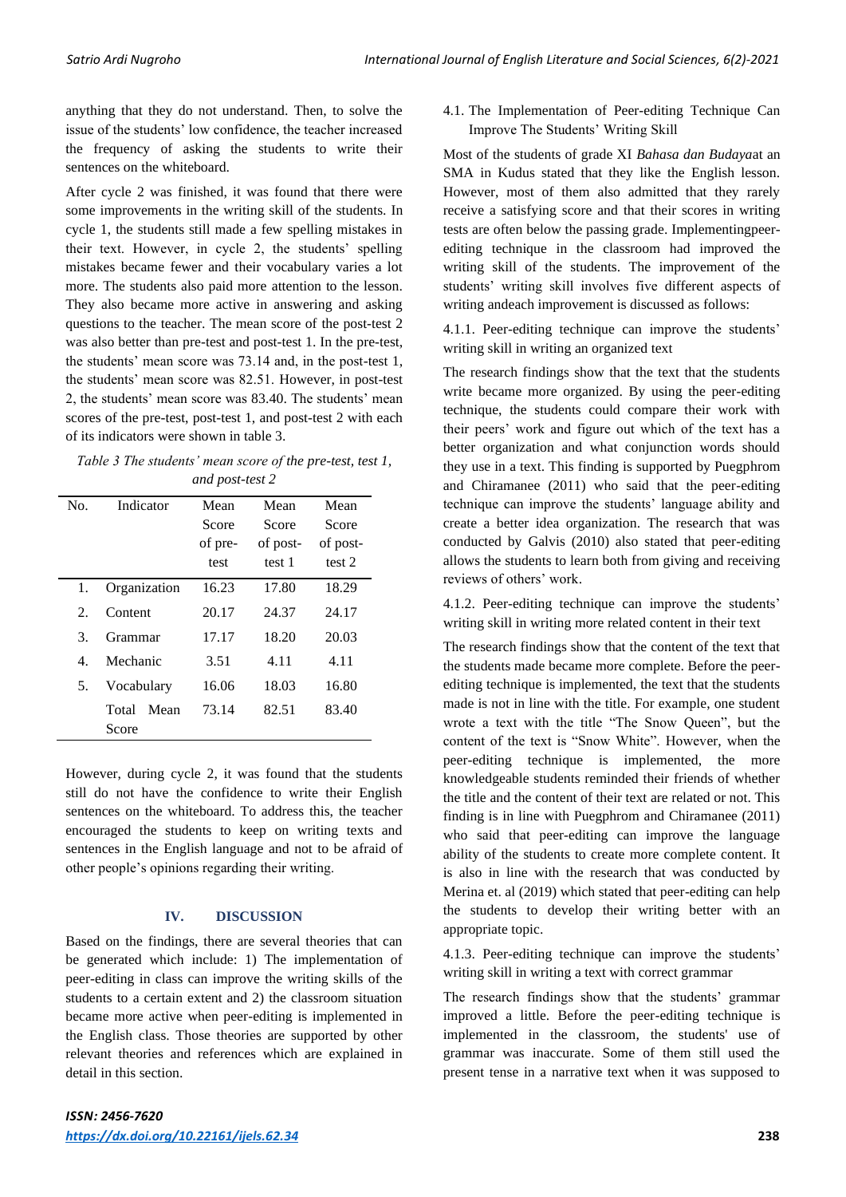anything that they do not understand. Then, to solve the issue of the students' low confidence, the teacher increased the frequency of asking the students to write their sentences on the whiteboard.

After cycle 2 was finished, it was found that there were some improvements in the writing skill of the students. In cycle 1, the students still made a few spelling mistakes in their text. However, in cycle 2, the students' spelling mistakes became fewer and their vocabulary varies a lot more. The students also paid more attention to the lesson. They also became more active in answering and asking questions to the teacher. The mean score of the post-test 2 was also better than pre-test and post-test 1. In the pre-test, the students' mean score was 73.14 and, in the post-test 1, the students' mean score was 82.51. However, in post-test 2, the students' mean score was 83.40. The students' mean scores of the pre-test, post-test 1, and post-test 2 with each of its indicators were shown in table 3.

*Table 3 The students' mean score of the pre-test, test 1, and post-test 2*

| No. | Indicator              | Mean<br>Score<br>of pre-<br>test | Mean<br>Score<br>of post-<br>test 1 | Mean<br>Score<br>of post-<br>test 2 |
|-----|------------------------|----------------------------------|-------------------------------------|-------------------------------------|
| 1.  | Organization           | 16.23                            | 17.80                               | 18.29                               |
| 2.  | Content                | 20.17                            | 24.37                               | 24.17                               |
| 3   | Grammar                | 17.17                            | 18.20                               | 20.03                               |
| 4   | Mechanic               | 3.51                             | 4.11                                | 4.11                                |
| 5.  | Vocabulary             | 16.06                            | 18.03                               | 16.80                               |
|     | Mean<br>Total<br>Score | 73.14                            | 82.51                               | 83.40                               |

However, during cycle 2, it was found that the students still do not have the confidence to write their English sentences on the whiteboard. To address this, the teacher encouraged the students to keep on writing texts and sentences in the English language and not to be afraid of other people's opinions regarding their writing.

## **IV. DISCUSSION**

Based on the findings, there are several theories that can be generated which include: 1) The implementation of peer-editing in class can improve the writing skills of the students to a certain extent and 2) the classroom situation became more active when peer-editing is implemented in the English class. Those theories are supported by other relevant theories and references which are explained in detail in this section.

4.1. The Implementation of Peer-editing Technique Can Improve The Students' Writing Skill

Most of the students of grade XI *Bahasa dan Budaya*at an SMA in Kudus stated that they like the English lesson. However, most of them also admitted that they rarely receive a satisfying score and that their scores in writing tests are often below the passing grade. Implementingpeerediting technique in the classroom had improved the writing skill of the students. The improvement of the students' writing skill involves five different aspects of writing andeach improvement is discussed as follows:

4.1.1. Peer-editing technique can improve the students' writing skill in writing an organized text

The research findings show that the text that the students write became more organized. By using the peer-editing technique, the students could compare their work with their peers' work and figure out which of the text has a better organization and what conjunction words should they use in a text. This finding is supported by Puegphrom and Chiramanee (2011) who said that the peer-editing technique can improve the students' language ability and create a better idea organization. The research that was conducted by Galvis (2010) also stated that peer-editing allows the students to learn both from giving and receiving reviews of others' work.

4.1.2. Peer-editing technique can improve the students' writing skill in writing more related content in their text

The research findings show that the content of the text that the students made became more complete. Before the peerediting technique is implemented, the text that the students made is not in line with the title. For example, one student wrote a text with the title "The Snow Queen", but the content of the text is "Snow White". However, when the peer-editing technique is implemented, the more knowledgeable students reminded their friends of whether the title and the content of their text are related or not. This finding is in line with Puegphrom and Chiramanee (2011) who said that peer-editing can improve the language ability of the students to create more complete content. It is also in line with the research that was conducted by Merina et. al (2019) which stated that peer-editing can help the students to develop their writing better with an appropriate topic.

4.1.3. Peer-editing technique can improve the students' writing skill in writing a text with correct grammar

The research findings show that the students' grammar improved a little. Before the peer-editing technique is implemented in the classroom, the students' use of grammar was inaccurate. Some of them still used the present tense in a narrative text when it was supposed to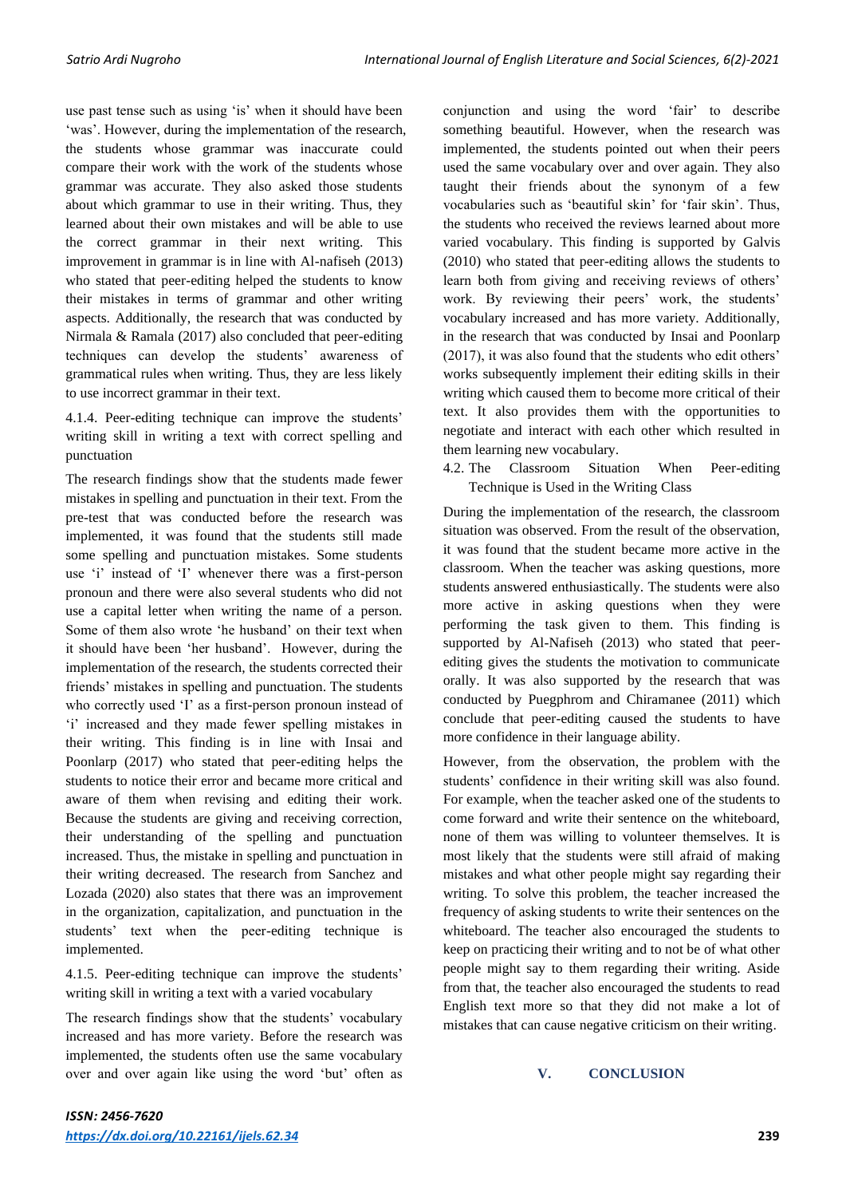use past tense such as using 'is' when it should have been 'was'. However, during the implementation of the research, the students whose grammar was inaccurate could compare their work with the work of the students whose grammar was accurate. They also asked those students about which grammar to use in their writing. Thus, they learned about their own mistakes and will be able to use the correct grammar in their next writing. This improvement in grammar is in line with Al-nafiseh (2013) who stated that peer-editing helped the students to know their mistakes in terms of grammar and other writing aspects. Additionally, the research that was conducted by Nirmala & Ramala (2017) also concluded that peer-editing techniques can develop the students' awareness of grammatical rules when writing. Thus, they are less likely to use incorrect grammar in their text.

4.1.4. Peer-editing technique can improve the students' writing skill in writing a text with correct spelling and punctuation

The research findings show that the students made fewer mistakes in spelling and punctuation in their text. From the pre-test that was conducted before the research was implemented, it was found that the students still made some spelling and punctuation mistakes. Some students use 'i' instead of 'I' whenever there was a first-person pronoun and there were also several students who did not use a capital letter when writing the name of a person. Some of them also wrote 'he husband' on their text when it should have been 'her husband'. However, during the implementation of the research, the students corrected their friends' mistakes in spelling and punctuation. The students who correctly used 'I' as a first-person pronoun instead of 'i' increased and they made fewer spelling mistakes in their writing. This finding is in line with Insai and Poonlarp (2017) who stated that peer-editing helps the students to notice their error and became more critical and aware of them when revising and editing their work. Because the students are giving and receiving correction, their understanding of the spelling and punctuation increased. Thus, the mistake in spelling and punctuation in their writing decreased. The research from Sanchez and Lozada (2020) also states that there was an improvement in the organization, capitalization, and punctuation in the students' text when the peer-editing technique is implemented.

4.1.5. Peer-editing technique can improve the students' writing skill in writing a text with a varied vocabulary

The research findings show that the students' vocabulary increased and has more variety. Before the research was implemented, the students often use the same vocabulary over and over again like using the word 'but' often as

conjunction and using the word 'fair' to describe something beautiful. However, when the research was implemented, the students pointed out when their peers used the same vocabulary over and over again. They also taught their friends about the synonym of a few vocabularies such as 'beautiful skin' for 'fair skin'. Thus, the students who received the reviews learned about more varied vocabulary. This finding is supported by Galvis (2010) who stated that peer-editing allows the students to learn both from giving and receiving reviews of others' work. By reviewing their peers' work, the students' vocabulary increased and has more variety. Additionally, in the research that was conducted by Insai and Poonlarp (2017), it was also found that the students who edit others' works subsequently implement their editing skills in their writing which caused them to become more critical of their text. It also provides them with the opportunities to negotiate and interact with each other which resulted in them learning new vocabulary.

4.2. The Classroom Situation When Peer-editing Technique is Used in the Writing Class

During the implementation of the research, the classroom situation was observed. From the result of the observation, it was found that the student became more active in the classroom. When the teacher was asking questions, more students answered enthusiastically. The students were also more active in asking questions when they were performing the task given to them. This finding is supported by Al-Nafiseh (2013) who stated that peerediting gives the students the motivation to communicate orally. It was also supported by the research that was conducted by Puegphrom and Chiramanee (2011) which conclude that peer-editing caused the students to have more confidence in their language ability.

However, from the observation, the problem with the students' confidence in their writing skill was also found. For example, when the teacher asked one of the students to come forward and write their sentence on the whiteboard, none of them was willing to volunteer themselves. It is most likely that the students were still afraid of making mistakes and what other people might say regarding their writing. To solve this problem, the teacher increased the frequency of asking students to write their sentences on the whiteboard. The teacher also encouraged the students to keep on practicing their writing and to not be of what other people might say to them regarding their writing. Aside from that, the teacher also encouraged the students to read English text more so that they did not make a lot of mistakes that can cause negative criticism on their writing.

#### **V. CONCLUSION**